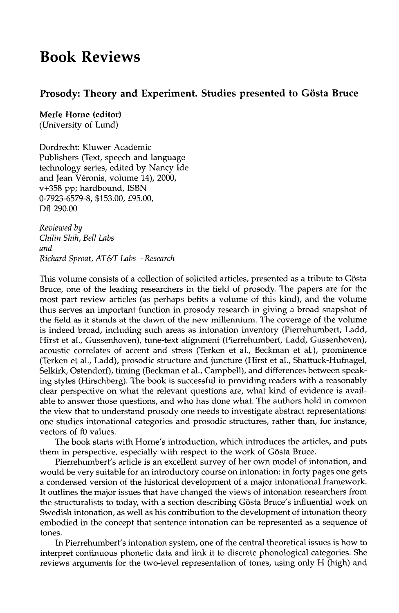## **Book Reviews**

## **Prosody: Theory and Experiment. Studies presented to Giista Bruce**

**Merle Horne (editor)**  (University of Lund)

Dordrecht: Kluwer Academic Publishers (Text, speech and language technology series, edited by Nancy Ide and Jean Véronis, volume 14), 2000, v+358 pp; hardbound, ISBN 0-7923-6579-8, \$153.00, £95.00, Dfl 290.00

*Reviewed by Chilin Shih, Bell Labs and Richard Sproat, AT& T Labs - Research* 

This volume consists of a collection of solicited articles, presented as a tribute to Gösta Bruce, one of the leading researchers in the field of prosody. The papers are for the most part review articles (as perhaps befits a volume of this kind), and the volume thus serves an important function in prosody research in giving a broad snapshot of the field as it stands at the dawn of the new millennium. The coverage of the volume is indeed broad, including such areas as intonation inventory (Pierrehumbert, Ladd, Hirst et al., Gussenhoven), tune-text alignment (Pierrehumbert, Ladd, Gussenhoven), acoustic correlates of accent and stress (Terken et al., Beckman et al.), prominence (Terken et al., Ladd), prosodic structure and juncture (Hirst et al., Shattuck-Hufnagel, Selkirk, Ostendorf), timing (Beckman et al., Campbell), and differences between speaking styles (Hirschberg). The book is successful in providing readers with a reasonably clear perspective on what the relevant questions are, what kind of evidence is available to answer those questions, and who has done what. The authors hold in common the view that to understand prosody one needs to investigate abstract representations: one studies intonational categories and prosodic structures, rather than, for instance, vectors of f0 values.

The book starts with Horne's introduction, which introduces the articles, and puts them in perspective, especially with respect to the work of Gösta Bruce.

Pierrehumbert's article is an excellent survey of her own model of intonation, and would be very suitable for an introductory course on intonation: in forty pages one gets a condensed version of the historical development of a major intonational framework. It outlines the major issues that have changed the views of intonation researchers from the structuralists to today, with a section describing Gösta Bruce's influential work on Swedish intonation, as well as his contribution to the development of intonation theory embodied in the concept that sentence intonation can be represented as a sequence of tones.

In Pierrehumbert's intonation system, one of the central theoretical issues is how to interpret continuous phonetic data and link it to discrete phonological categories. She reviews arguments for the two-level representation of tones, using only H (high) and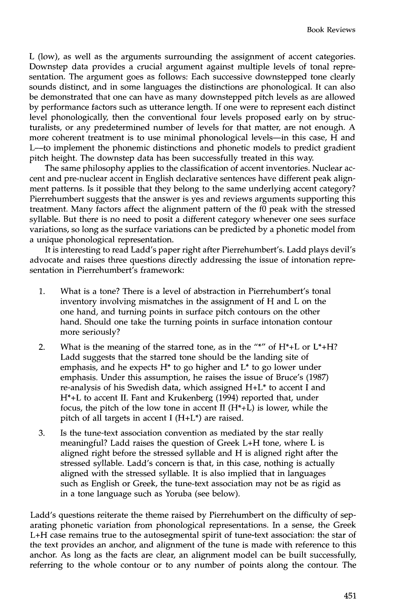L (low), as well as the arguments surrounding the assignment of accent categories. Downstep data provides a crucial argument against multiple levels of tonal representation. The argument goes as follows: Each successive downstepped tone clearly sounds distinct, and in some languages the distinctions are phonological. It can also be demonstrated that one can have as many downstepped pitch levels as are allowed by performance factors such as utterance length. If one were to represent each distinct level phonologically, then the conventional four levels proposed early on by structuralists, or any predetermined number of levels for that matter, are not enough. A more coherent treatment is to use minimal phonological levels—in this case, H and L--to implement the phonemic distinctions and phonetic models to predict gradient pitch height. The downstep data has been successfully treated in this way.

The same philosophy applies to the classification of accent inventories. Nuclear accent and pre-nuclear accent in English declarative sentences have different peak alignment patterns. Is it possible that they belong to the same underlying accent category? Pierrehumbert suggests that the answer is yes and reviews arguments supporting this treatment. Many factors affect the alignment pattern of the f0 peak with the stressed syllable. But there is no need to posit a different category whenever one sees surface variations, so long as the surface variations can be predicted by a phonetic model from a unique phonological representation.

It is interesting to read Ladd's paper right after Pierrehumbert's. Ladd plays devil's advocate and raises three questions directly addressing the issue of intonation representation in Pierrehumbert's framework:

- 1. What is a tone? There is a level of abstraction in Pierrehumbert's tonal inventory involving mismatches in the assignment of H and L on the one hand, and turning points in surface pitch contours on the other hand. Should one take the turning points in surface intonation contour more seriously?
- 2. What is the meaning of the starred tone, as in the "\*" of  $H^*+L$  or  $L^*+H$ ? Ladd suggests that the starred tone should be the landing site of emphasis, and he expects  $H^*$  to go higher and  $L^*$  to go lower under emphasis. Under this assumption, he raises the issue of Bruce's (1987) re-analysis of his Swedish data, which assigned H+L\* to accent I and H\*+L to accent II. Fant and Krukenberg (1994) reported that, under focus, the pitch of the low tone in accent  $II(H^*+L)$  is lower, while the pitch of all targets in accent I (H+L\*) are raised.
- 3. Is the tune-text association convention as mediated by the star really meaningful? Ladd raises the question of Greek L+H tone, where L is aligned right before the stressed syllable and H is aligned right after the stressed syllable. Ladd's concern is that, in this case, nothing is actually aligned with the stressed syllable. It is also implied that in languages such as English or Greek, the tune-text association may not be as rigid as in a tone language such as Yoruba (see below).

Ladd's questions reiterate the theme raised by Pierrehumbert on the difficulty of separating phonetic variation from phonological representations. In a sense, the Greek L+H case remains true to the autosegmental spirit of tune-text association: the star of the text provides an anchor, and alignment of the tune is made with reference to this anchor. As long as the facts are clear, an alignment model can be built successfully, referring to the whole contour or to any number of points along the contour. The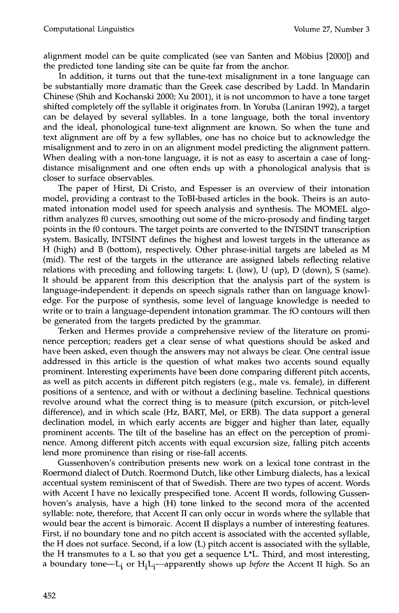alignment model can be quite complicated (see van Santen and M6bius [2000]) and the predicted tone landing site can be quite far from the anchor.

In addition, it turns out that the tune-text misalignment in a tone language can be substantially more dramatic than the Greek case described by Ladd. In Mandarin Chinese (Shih and Kochanski 2000; Xu 2001), it is not uncommon to have a tone target shifted completely off the syllable it originates from. In Yoruba (Laniran 1992), a target can be delayed by several syllables. In a tone language, both the tonal inventory and the ideal, phonological tune-text alignment are known. So when the tune and text alignment are off by a few syllables, one has no choice but to acknowledge the misalignment and to zero in on an alignment model predicting the alignment pattern. When dealing with a non-tone language, it is not as easy to ascertain a case of longdistance misalignment and one often ends up with a phonological analysis that is closer to surface observables.

The paper of Hirst, Di Cristo, and Espesser is an overview of their intonation model, providing a contrast to the ToBI-based articles in the book. Theirs is an automated intonation model used for speech analysis and synthesis. The MOMEL algorithm analyzes f0 curves, smoothing out some of the micro-prosody and finding target points in the f0 contours. The target points are converted to the INTSINT transcription system. Basically, INTSINT defines the highest and lowest targets in the utterance as H (high) and B (bottom), respectively. Other phrase-initial targets are labeled as M (mid). The rest of the targets in the utterance are assigned labels reflecting relative relations with preceding and following targets: L (low), U (up), D (down), S (same). It should be apparent from this description that the analysis part of the system is language-independent: it depends on speech signals rather than on language knowledge. For the purpose of synthesis, some level of language knowledge is needed to write or to train a language-dependent intonation grammar. The fO contours will then be generated from the targets predicted by the grammar.

Terken and Hermes provide a comprehensive review of the literature on prominence perception; readers get a clear sense of what questions should be asked and have been asked, even though the answers may not always be clear. One central issue addressed in this article is the question of what makes two accents sound equally prominent. Interesting experiments have been done comparing different pitch accents, as well as pitch accents in different pitch registers (e.g., male vs. female), in different positions of a sentence, and with or without a declining baseline. Technical questions revolve around what the correct thing is to measure (pitch excursion, or pitch-level difference), and in which scale (Hz, BART, Mel, or ERB). The data support a general declination model, in which early accents are bigger and higher than later, equally prominent accents. The tilt of the baseline has an effect on the perception of prominence. Among different pitch accents with equal excursion size, falling pitch accents lend more prominence than rising or rise-fall accents.

Gussenhoven's contribution presents new work on a lexical tone contrast in the Roermond dialect of Dutch. Roermond Dutch, like other Limburg dialects, has a lexical accentual system reminiscent of that of Swedish. There are two types of accent. Words with Accent I have no lexically prespecified tone. Accent II words, following Gussenhoven's analysis, have a high (H) tone linked to the second mora of the accented syllable: note, therefore, that Accent II can only occur in words where the syllable that would bear the accent is bimoraic. Accent II displays a number of interesting features. First, if no boundary tone and no pitch accent is associated with the accented syllable, the H does not surface. Second, if a low (L) pitch accent is associated with the syllable, the H transmutes to a L so that you get a sequence L\*L. Third, and most interesting, a boundary tone—L<sub>i</sub> or H<sub>i</sub>L<sub>i</sub>—apparently shows up *before* the Accent II high. So an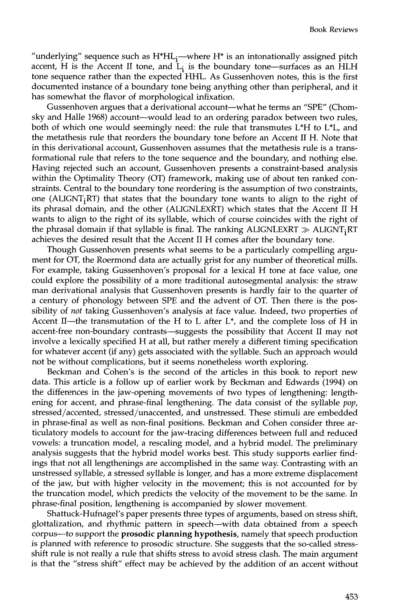"underlying" sequence such as  $\mathrm{H^{*}HL_{i}}$ —where  $\mathrm{H^{*}}$  is an intonationally assigned pitch accent, H is the Accent II tone, and  $L_i$  is the boundary tone—surfaces as an HLH tone sequence rather than the expected HHL. As Gussenhoven notes, this is the first documented instance of a boundary tone being anything other than peripheral, and it has somewhat the flavor of morphological infixation.

Gussenhoven argues that a derivational account—what he terms an "SPE" (Chomsky and Halle 1968) account--would lead to an ordering paradox between two rules, both of which one would seemingly need: the rule that transmutes  $L^*H$  to  $L^*L$ , and the metathesis rule that reorders the boundary tone before an Accent II H. Note that in this derivational account, Gussenhoven assumes that the metathesis rule is a transformational rule that refers to the tone sequence and the boundary, and nothing else. Having rejected such an account, Gussenhoven presents a constraint-based analysis within the Optimality Theory (OT) framework, making use of about ten ranked constraints. Central to the boundary tone reordering is the assumption of two constraints, one (ALIGNT<sub>i</sub>RT) that states that the boundary tone wants to align to the right of its phrasal domain, and the other (ALIGNLEXRT) which states that the Accent II H wants to align to the right of its syllable, which of course coincides with the right of the phrasal domain if that syllable is final. The ranking ALIGNLEXRT  $\gg$  ALIGNT, RT achieves the desired result that the Accent II H comes after the boundary tone.

Though Gussenhoven presents what seems to be a particularly compelling argument for OT, the Roermond data are actually grist for any number of theoretical mills. For example, taking Gussenhoven's proposal for a lexical H tone at face value, one could explore the possibility of a more traditional autosegmental analysis: the straw man derivational analysis that Gussenhoven presents is hardly fair to the quarter of a century of phonology between SPE and the advent of OT. Then there is the possibility of *not* taking Gussenhoven's analysis at face value. Indeed, two properties of Accent II-the transmutation of the H to L after  $L^*$ , and the complete loss of H in accent-free non-boundary contrasts--suggests the possibility that Accent II may not involve a lexically specified H at all, but rather merely a different timing specification for whatever accent (if any) gets associated with the syllable. Such an approach would not be without complications, but it seems nonetheless worth exploring.

Beckman and Cohen's is the second of the articles in this book to report new data. This article is a follow up of earlier work by Beckman and Edwards (1994) on the differences in the jaw-opening movements of two types of lengthening: lengthening for accent, and phrase-final lengthening. The data consist of the syllable *pop,*  stressed/accented, stressed/unaccented, and unstressed. These stimuli are embedded in phrase-final as well as non-final positions. Beckman and Cohen consider three articulatory models to account for the jaw-tracing differences between full and reduced vowels: a truncation model, a rescaling model, and a hybrid model. The preliminary analysis suggests that the hybrid model works best. This study supports earlier findings that not all lengthenings are accomplished in the same way. Contrasting with an unstressed syllable, a stressed syllable is longer, and has a more extreme displacement of the jaw, but with higher velocity in the movement; this is not accounted for by the truncation model, which predicts the velocity of the movement to be the same. In phrase-final position, lengthening is accompanied by slower movement.

Shattuck-Hufnagel's paper presents three types of arguments, based on stress shift, glottalization, and rhythmic pattern in speech--with data obtained from a speech corpus--to support the prosodic planning hypothesis, namely that speech production is planned with reference to prosodic structure. She suggests that the so-called stressshift rule is not really a rule that shifts stress to avoid stress clash. The main argument is that the "stress shift" effect may be achieved by the addition of an accent without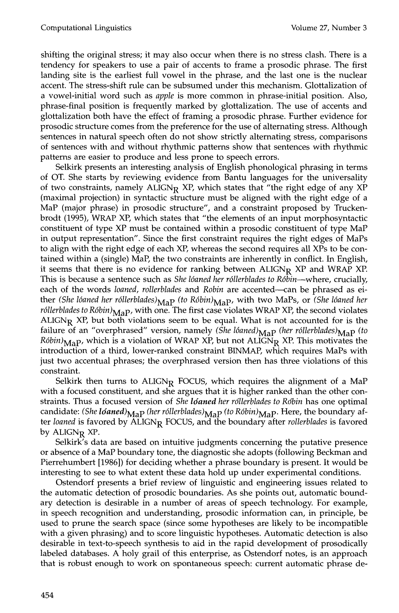shifting the original stress; it may also occur when there is no stress clash. There is a tendency for speakers to use a pair of accents to frame a prosodic phrase. The first landing site is the earliest full vowel in the phrase, and the last one is the nuclear accent. The stress-shift rule can be subsumed under this mechanism. Glottalization of a vowel-initial word such as *apple* is more common in phrase-initial position. Also, phrase-final position is frequently marked by glottalization. The use of accents and glottalization both have the effect of framing a prosodic phrase. Further evidence for prosodic structure comes from the preference for the use of alternating stress. Although sentences in natural speech often do not show strictly alternating stress, comparisons of sentences with and without rhythmic patterns show that sentences with rhythmic patterns are easier to produce and less prone to speech errors.

Selkirk presents an interesting analysis of English phonological phrasing in terms of OT. She starts by reviewing evidence from Bantu languages for the universality of two constraints, namely  $ALIGN_R$  XP, which states that "the right edge of any XP (maximal projection) in syntactic structure must be aligned with the right edge of a MaP (major phrase) in prosodic structure", and a constraint proposed by Truckenbrodt (1995), WRAP XP, which states that "the elements of an input morphosyntactic constituent of type XP must be contained within a prosodic constituent of type MaP in output representation". Since the first constraint requires the right edges of MaPs to align with the right edge of each XP, whereas the second requires all XPs to be contained within a (single) MaP, the two constraints are inherently in conflict. In English, it seems that there is no evidence for ranking between  $ALIGN_R$  XP and WRAP XP. This is because a sentence such as *She 16aned her r6llerblades to R6bin--where,* crucially, each of the words *loaned, rollerblades* and *Robin* are accented--can be phrased as either *(She lóaned her róllerblades)* MaP (to Róbin) MaP, with two MaPs, or *(She lóaned her róllerblades to Róbin*) $_{\text{Map}}$ , with one. The first case violates WRAP XP, the second violates ALIGN<sub>R</sub> XP, but both violations seem to be equal. What is not accounted for is the failure of an "overphrased" version, namely *(She lóaned)* MaP *(her róllerblades)* MaP *(to*  $R6bin<sub>Map</sub>$ , which is a violation of WRAP XP, but not ALIGN<sub>R</sub> XP. This motivates the introduction of a third, lower-ranked constraint BINMAP, which requires MaPs with just two accentual phrases; the overphrased version then has three violations of this constraint.

Selkirk then turns to ALIGN<sub>R</sub> FOCUS, which requires the alignment of a MaP with a focused constituent, and she argues that it is higher ranked than the other constraints. Thus a focused version of *She ldaned her rdllerblades to Robin* has one optimal candidate: *(She lóaned)<sub>MaP</sub> (her róllerblades)<sub>MaP</sub> (to Róbin)<sub>MaP</sub>. Here, the boundary af*ter *loaned* is favored by ALIGN<sub>R</sub> FOCUS, and the boundary after *rollerblades* is favored by ALIGN<sub>R</sub> XP.

Selkirk's data are based on intuitive judgments concerning the putative presence or absence of a MaP boundary tone, the diagnostic she adopts (following Beckman and Pierrehumbert [1986]) for deciding whether a phrase boundary is present. It would be interesting to see to what extent these data hold up under experimental conditions.

Ostendorf presents a brief review of linguistic and engineering issues related to the automatic detection of prosodic boundaries. As she points out, automatic boundary detection is desirable in a number of areas of speech technology. For example, in speech recognition and understanding, prosodic information can, in principle, be used to prune the search space (since some hypotheses are likely to be incompatible with a given phrasing) and to score linguistic hypotheses. Automatic detection is also desirable in text-to-speech synthesis to aid in the rapid development of prosodically labeled databases. A holy grail of this enterprise, as Ostendorf notes, is an approach that is robust enough to work on spontaneous speech: current automatic phrase de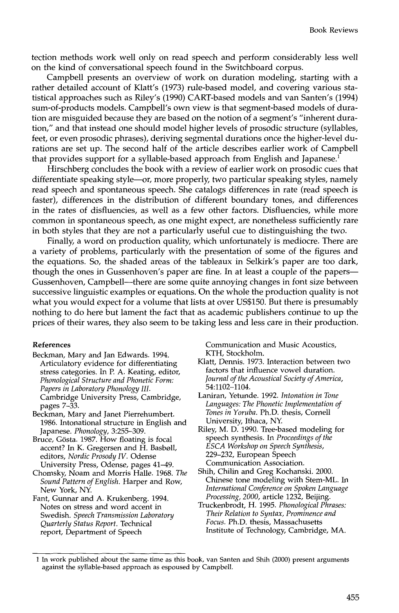tection methods work well only on read speech and perform considerably less well on the kind of conversational speech found in the Switchboard corpus.

Campbell presents an overview of work on duration modeling, starting with a rather detailed account of Klatt's (1973) rule-based model, and covering various statistical approaches such as Riley's (1990) CART-based models and van Santen's (1994) sum-of-products models. Campbell's own view is that segment-based models of duration are misguided because they are based on the notion of a segment's "inherent duration," and that instead one should model higher levels of prosodic structure (syllables, feet, or even prosodic phrases), deriving segmental durations once the higher-level durations are set up. The second half of the article describes earlier work of Campbell that provides support for a syllable-based approach from English and Japanese.<sup>1</sup>

Hirschberg concludes the book with a review of earlier work on prosodic cues that differentiate speaking style--or, more properly, two particular speaking styles, namely read speech and spontaneous speech. She catalogs differences in rate (read speech is faster), differences in the distribution of different boundary tones, and differences in the rates of disfluencies, as well as a few other factors. Disfluencies, while more common in spontaneous speech, as one might expect, are nonetheless sufficiently rare in both styles that they are not a particularly useful cue to distinguishing the two.

Finally, a word on production quality, which unfortunately is mediocre. There are a variety of problems, particularly with the presentation of some of the figures and the equations. So, the shaded areas of the tableaux in Selkirk's paper are too dark, though the ones in Gussenhoven's paper are fine. In at least a couple of the papers-Gussenhoven, Campbell--there are some quite annoying changes in font size between successive linguistic examples or equations. On the whole the production quality is not what you would expect for a volume that lists at over US\$150. But there is presumably nothing to do here but lament the fact that as academic publishers continue to up the prices of their wares, they also seem to be taking less and less care in their production.

## **References**

- Beckman, Mary and Jan Edwards. 1994. Articulatory evidence for differentiating stress categories. In P. A. Keating, editor, *Phonological Structure and Phonetic Form: Papers in Laboratory Phonology II1.*  Cambridge University Press, Cambridge, pages 7-33.
- Beckman, Mary and Janet Pierrehumbert. 1986. Intonational structure in English and Japanese. *Phonology,* 3:255-309.
- Bruce, Gösta. 1987. How floating is focal accent? In K. Gregersen and H. Basboll, editors, *Nordic Prosody IV.* Odense University Press, Odense, pages 41-49.
- Chomsky, Noam and Morris Halle. 1968. *The Sound Pattern of English.* Harper and Row, New York, NY.

Fant, Gunnar and A. Krukenberg. 1994. Notes on stress and word accent in Swedish. *Speech Transmission Laboratory Quarterly Status Report.* Technical report, Department of Speech

Communication and Music Acoustics, KTH, Stockholm.

- Klatt, Dennis. 1973. Interaction between two factors that influence vowel duration. *Journal of the Acoustical Society of America,*  54:1102-1104.
- Laniran, Yettmde. 1992. *Intonation in Tone Languages: The Phonetic Implementation of Tones in Yoruba.* Ph.D. thesis, Cornell University, Ithaca, NY.
- Riley, M. D. 1990. Tree-based modeling for speech synthesis. In *Proceedings of the ESCA Workshop on Speech Synthesis,*  229-232, European Speech Communication Association.
- Shih, Chilin and Greg Kochanski. 2000. Chinese tone modeling with Stem-ML. In *International Conference on Spoken Language Processing, 2000,* article 1232, Beijing.
- Truckenbrodt, H. 1995. *Phonological Phrases: Their Relation to Syntax, Prominence and Focus.* Ph.D. thesis, Massachusetts Institute of Technology, Cambridge, MA.

<sup>1</sup> In work published about the same time as this book, van Santen and Shih (2000) present arguments against the syllable-based approach as espoused by Campbell.